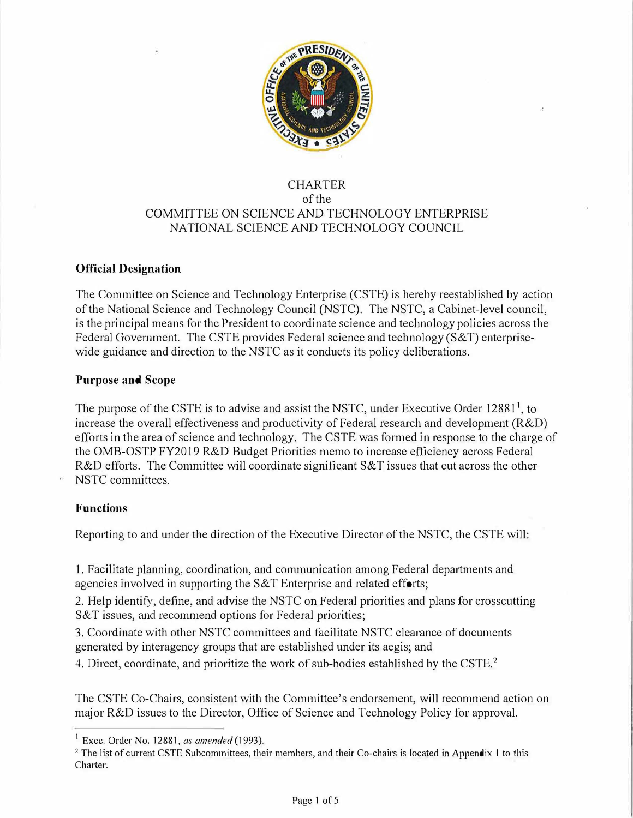

# CHARTER of the COMMITTEE ON SCIENCE AND TECHNOLOGY ENTERPRISE NATIONAL SCIENCE AND TECHNOLOGY COUNCIL

### **Official Designation**

The Committee on Science and Technology Enterprise (CSTE) is hereby reestablished by action of the National Science and Technology Council (NSTC). The NSTC, a Cabinet-level council, is the principal means for the President to coordinate science and technology policies across the Federal Government. The CSTE provides Federal science and technology (S&T) enterprisewide guidance and direction to the NSTC as it conducts its policy deliberations.

### **Purpose and Scope**

The purpose of the CSTE is to advise and assist the NSTC, under Executive Order 12881<sup>1</sup>, to increase the overall effectiveness and productivity of Federal research and development (R&D) efforts in the area of science and technology. The CSTE was formed in response to the charge of the OMB-OSTP FY2019 R&D Budget Priorities memo to increase efficiency across Federal R&D efforts. The Committee will coordinate significant S&T issues that cut across the other NSTC committees.

### **Functions**

Reporting to and under the direction of the Executive Director of the NSTC, the CSTE will:

1. Facilitate planning, coordination, and communication among Federal departments and agencies involved in supporting the  $S&T$  Enterprise and related efforts;

2. Help identify, define, and advise the NSTC on Federal priorities and plans for crosscutting S&T issues, and recommend options for Federal priorities;

3. Coordinate with other NSTC committees and facilitate NSTC clearance of documents generated by interagency groups that are established under its aegis; and

4. Direct, coordinate, and prioritize the work of sub-bodies established by the CSTE.<sup>2</sup>

The CSTE Co-Chairs, consistent with the Committee's endorsement, will recommend action on major R&D issues to the Director, Office of Science and Technology Policy for approval.

<sup>1</sup> Exec. Order No. 12881, *as amended* (1993).

<sup>&</sup>lt;sup>2</sup> The list of current CSTE Subcommittees, their members, and their Co-chairs is located in Appendix 1 to this Charter.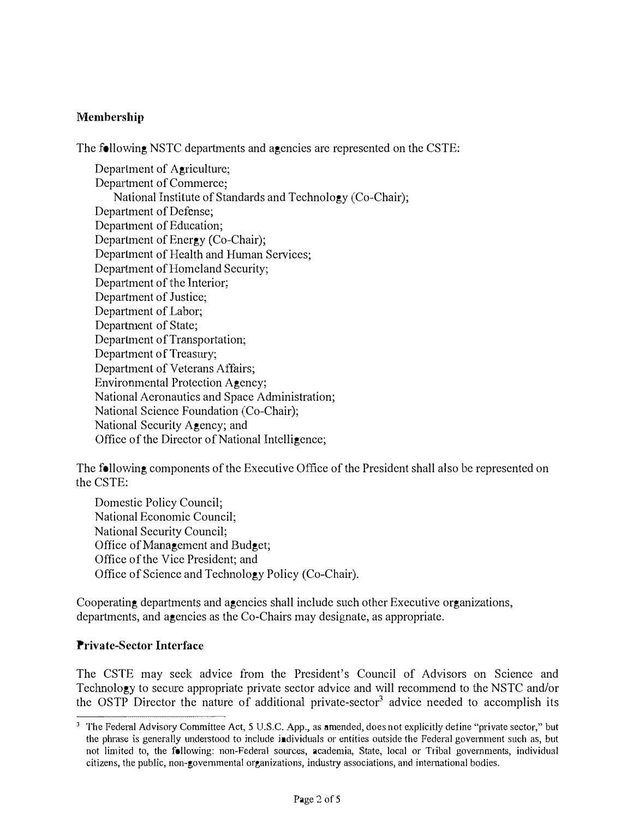# **Membership**

The following NSTC departments and agencies are represented on the CSTE:

Department of Agriculture; Department of Commerce; National Institute of Standards and Technology (Co-Chair); Department of Defense; Department of Education; Department of Energy (Co-Chair); Department of Health and Human Services; Department of Homeland Security; Department of the Interior; Department of Justice; Department of Labor; Department of State; Department of Transportation; Department of Treasury; Department of Veterans Affairs; Environmental Protection Agency; National Aeronautics and Space Administration; National Science Foundation (Co-Chair); National Security Agency; and Office of the Director of National Intelligence;

The following components of the Executive Office of the President shall also be represented on the CSTE:

Domestic Policy Council; National Economic Council; National Security Council; Office of Management and Budget; Office of the Vice President; and Office of Science and Technology Policy (Co-Chair).

Cooperating departments and agencies shall include such other Executive organizations, departments, and agencies as the Co-Chairs may designate, as appropriate.

### **Private-Sector Interface**

The CSTE may seek advice from the President's Council of Advisors on Science and Technology to secure appropriate private sector advice and will recommend to the NSTC and/or the OSTP Director the nature of additional private-sector<sup>3</sup> advice needed to accomplish its

<sup>&</sup>lt;sup>3</sup> The Federal Advisory Committee Act, 5 U.S.C. App., as amended, does not explicitly define "private sector," but the phrase is generally understood to include individuals or entities outside the Federal government such as, but not limited to, the following: non-Federal sources, academia, State, local or Tribal governments, individual **citizens, the public, non-governmental organizations, industry associations, and intemational bodies.**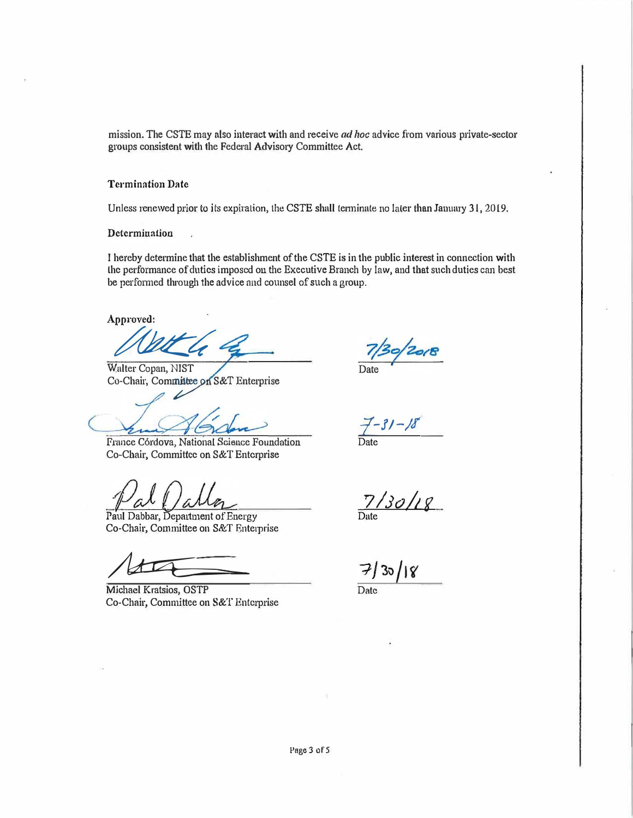mission. The CSTE may also interact with and receive *ad hoc* advice from various private-sector groups consistent with the Federal Advisory Committee Act.

#### **Termination Date**

Unless renewed prior to its expiration, the CSTE shall terminate no later than January 31, 2019.

**Determination** 

I hereby determine that the establishment of the CSTE is in the public interest in connection with the performance of duties imposed on the Executive Branch by law, and that such duties can best be performed through the advice and counsel of such a group.

**Approved:** 

 $u$ 

Walter Copan, NIST Co-Chair, Committee on S&T Enterprise

France C6rdova, National Science Foundation Date Co-Chair, Committee on S&T Enterprise

Paul Dabbar, Department of Energy Co-Chair, Committee on S&T Enterprise

 $\overline{\mathcal{A}}$ 

Michael Kratsios, OSTP Date Co-Chair, Committee on S&T Enterprise

*.:r-11-11* 

*7/Jo/2f*

 $30/18$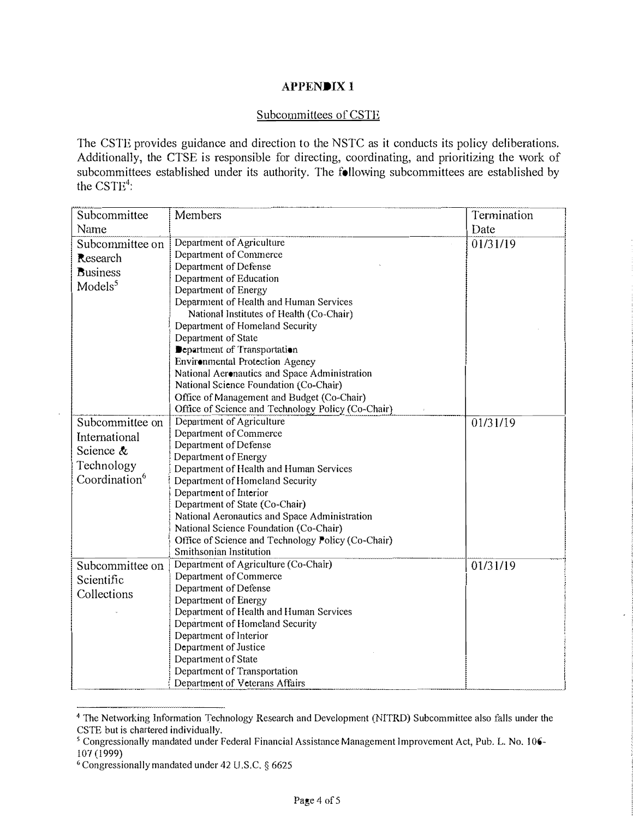### **APPENDIX!**

#### Subcommittees of CSTE

The CSTE provides guidance and direction to the NSTC as it conducts its policy deliberations. Additionally, the CTSE is responsible for directing, coordinating, and prioritizing the work of subcommittees established under its authority. The following subcommittees are established by the  $\text{CSTE}^4$ :

| Subcommittee                                                                             | Members                                                                                                                                                                                                                                                                                                                                                                                                                                                                                                                                            | Termination |
|------------------------------------------------------------------------------------------|----------------------------------------------------------------------------------------------------------------------------------------------------------------------------------------------------------------------------------------------------------------------------------------------------------------------------------------------------------------------------------------------------------------------------------------------------------------------------------------------------------------------------------------------------|-------------|
| Name                                                                                     |                                                                                                                                                                                                                                                                                                                                                                                                                                                                                                                                                    | Date        |
| Subcommittee on<br>Research<br><b>Business</b><br>Models <sup>5</sup>                    | Department of Agriculture<br>Department of Commerce<br>Department of Defense<br>Department of Education<br>Department of Energy<br>Deparmient of Health and Human Services<br>National Institutes of Health (Co-Chair)<br>Department of Homeland Security<br>Department of State<br>Department of Transportation<br>Environmental Protection Agency<br>National Aeronautics and Space Administration<br>National Science Foundation (Co-Chair)<br>Office of Management and Budget (Co-Chair)<br>Office of Science and Technology Policy (Co-Chair) | 01/31/19    |
| Subcommittee on<br>International<br>Science &<br>Technology<br>Coordination <sup>6</sup> | Department of Agriculture<br>Department of Commerce<br>Department of Defense<br>Department of Energy<br>Department of Health and Human Services<br>Department of Homeland Security<br>Department of Interior<br>Department of State (Co-Chair)<br>National Aeronautics and Space Administration<br>National Science Foundation (Co-Chair)<br>Office of Science and Technology Policy (Co-Chair)<br>Smithsonian Institution                                                                                                                         | 01/31/19    |
| Subcommittee on<br>Scientific<br>Collections                                             | Department of Agriculture (Co-Chair)<br>Department of Commerce<br>Department of Defense<br>Department of Energy<br>Department of Health and Human Services<br>Department of Homeland Security<br>Department of Interior<br>Department of Justice<br>Department of State<br>Department of Transportation<br>Department of Veterans Affairs                                                                                                                                                                                                          | 01/31/19    |

<sup>&</sup>lt;sup>4</sup> The Networking Information Technology Research and Development (NITRD) Subcommittee also falls under the CSTE but is chartered individually.

*<sup>5</sup>*Congressiona11y mandated under Federal Financial Assistance Management Improvement Act, Pub. L. No. 106- 107 (1999)

<sup>•</sup> Congressionally mandated under 42 U.S.C. § 6625